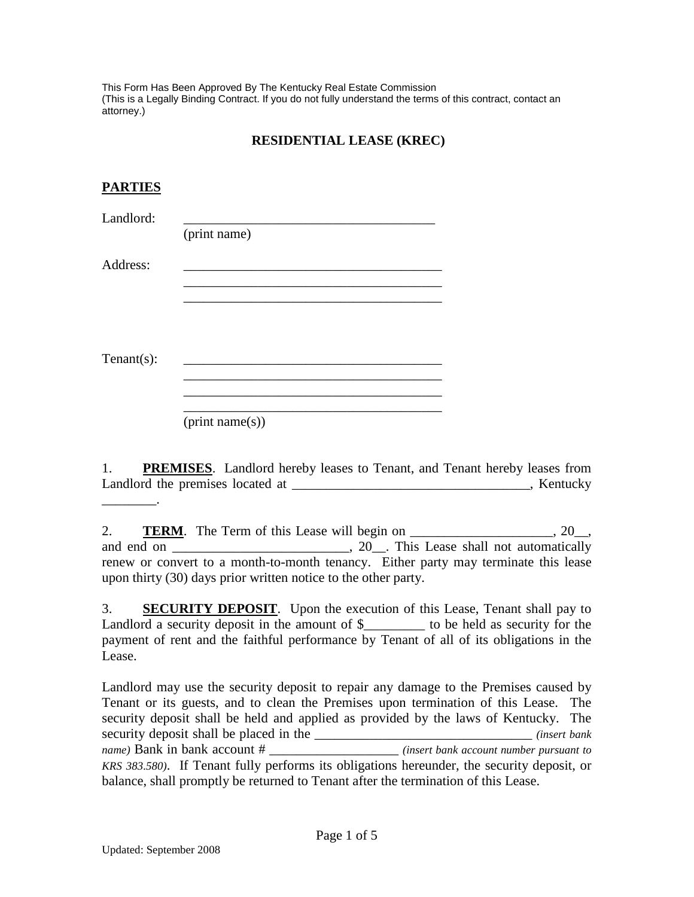This Form Has Been Approved By The Kentucky Real Estate Commission (This is a Legally Binding Contract. If you do not fully understand the terms of this contract, contact an attorney.)

## **RESIDENTIAL LEASE (KREC)**

## **PARTIES**

| Landlord:      | (print name) |  |
|----------------|--------------|--|
| Address:       |              |  |
|                |              |  |
|                |              |  |
| Tenant $(s)$ : |              |  |
|                |              |  |

(print name(s))

1. **PREMISES**. Landlord hereby leases to Tenant, and Tenant hereby leases from Landlord the premises located at \_\_\_\_\_\_\_\_\_\_\_\_\_\_\_\_\_\_\_\_\_\_\_\_\_\_\_\_\_\_\_\_\_\_, Kentucky \_\_\_\_\_\_\_\_.

2. **TERM**. The Term of this Lease will begin on \_\_\_\_\_\_\_\_\_\_\_\_\_\_\_\_\_\_, 20\_\_, and end on  $\overline{\phantom{a}}$ , 20. This Lease shall not automatically renew or convert to a month-to-month tenancy. Either party may terminate this lease upon thirty (30) days prior written notice to the other party.

3. **SECURITY DEPOSIT**. Upon the execution of this Lease, Tenant shall pay to Landlord a security deposit in the amount of \$ The best do be held as security for the payment of rent and the faithful performance by Tenant of all of its obligations in the Lease.

Landlord may use the security deposit to repair any damage to the Premises caused by Tenant or its guests, and to clean the Premises upon termination of this Lease. The security deposit shall be held and applied as provided by the laws of Kentucky. The security deposit shall be placed in the \_\_\_\_\_\_\_\_\_\_\_\_\_\_\_\_\_\_\_\_\_\_\_\_\_\_\_\_\_\_\_\_ *(insert bank name)* Bank in bank account # \_\_\_\_\_\_\_\_\_\_\_\_\_\_\_\_\_\_\_ *(insert bank account number pursuant to KRS 383.580)*. If Tenant fully performs its obligations hereunder, the security deposit, or balance, shall promptly be returned to Tenant after the termination of this Lease.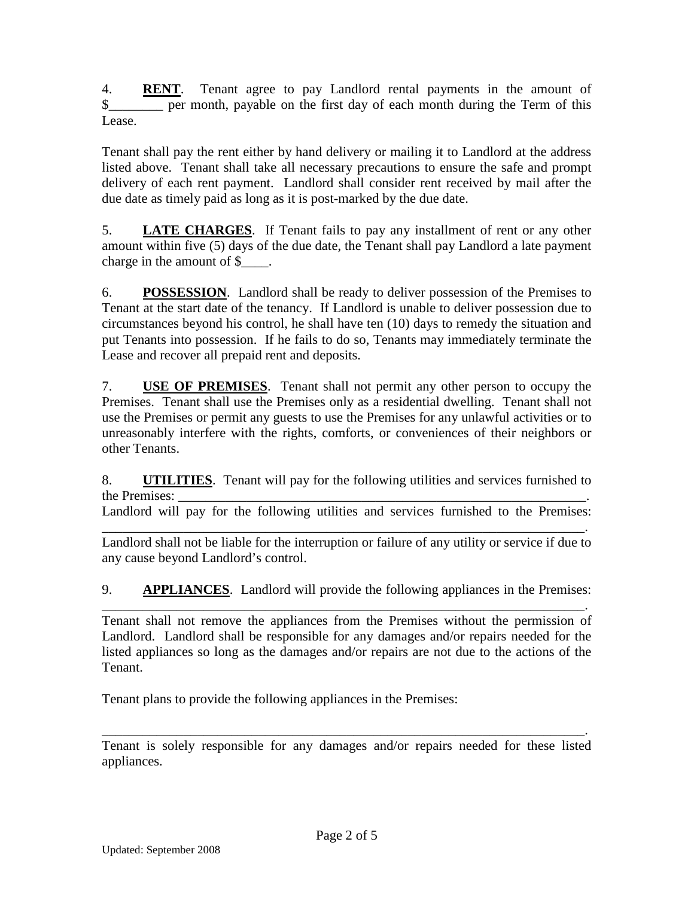4. **RENT**. Tenant agree to pay Landlord rental payments in the amount of \$ per month, payable on the first day of each month during the Term of this Lease.

Tenant shall pay the rent either by hand delivery or mailing it to Landlord at the address listed above. Tenant shall take all necessary precautions to ensure the safe and prompt delivery of each rent payment. Landlord shall consider rent received by mail after the due date as timely paid as long as it is post-marked by the due date.

5. **LATE CHARGES**. If Tenant fails to pay any installment of rent or any other amount within five (5) days of the due date, the Tenant shall pay Landlord a late payment charge in the amount of \$\_\_\_\_.

6. **POSSESSION**. Landlord shall be ready to deliver possession of the Premises to Tenant at the start date of the tenancy. If Landlord is unable to deliver possession due to circumstances beyond his control, he shall have ten (10) days to remedy the situation and put Tenants into possession. If he fails to do so, Tenants may immediately terminate the Lease and recover all prepaid rent and deposits.

7. **USE OF PREMISES**. Tenant shall not permit any other person to occupy the Premises. Tenant shall use the Premises only as a residential dwelling. Tenant shall not use the Premises or permit any guests to use the Premises for any unlawful activities or to unreasonably interfere with the rights, comforts, or conveniences of their neighbors or other Tenants.

8. **UTILITIES**. Tenant will pay for the following utilities and services furnished to the Premises:

Landlord will pay for the following utilities and services furnished to the Premises:

\_\_\_\_\_\_\_\_\_\_\_\_\_\_\_\_\_\_\_\_\_\_\_\_\_\_\_\_\_\_\_\_\_\_\_\_\_\_\_\_\_\_\_\_\_\_\_\_\_\_\_\_\_\_\_\_\_\_\_\_\_\_\_\_\_\_\_\_\_\_\_. Landlord shall not be liable for the interruption or failure of any utility or service if due to any cause beyond Landlord's control.

9. **APPLIANCES**. Landlord will provide the following appliances in the Premises:

\_\_\_\_\_\_\_\_\_\_\_\_\_\_\_\_\_\_\_\_\_\_\_\_\_\_\_\_\_\_\_\_\_\_\_\_\_\_\_\_\_\_\_\_\_\_\_\_\_\_\_\_\_\_\_\_\_\_\_\_\_\_\_\_\_\_\_\_\_\_\_. Tenant shall not remove the appliances from the Premises without the permission of Landlord. Landlord shall be responsible for any damages and/or repairs needed for the listed appliances so long as the damages and/or repairs are not due to the actions of the Tenant.

Tenant plans to provide the following appliances in the Premises:

\_\_\_\_\_\_\_\_\_\_\_\_\_\_\_\_\_\_\_\_\_\_\_\_\_\_\_\_\_\_\_\_\_\_\_\_\_\_\_\_\_\_\_\_\_\_\_\_\_\_\_\_\_\_\_\_\_\_\_\_\_\_\_\_\_\_\_\_\_\_\_. Tenant is solely responsible for any damages and/or repairs needed for these listed appliances.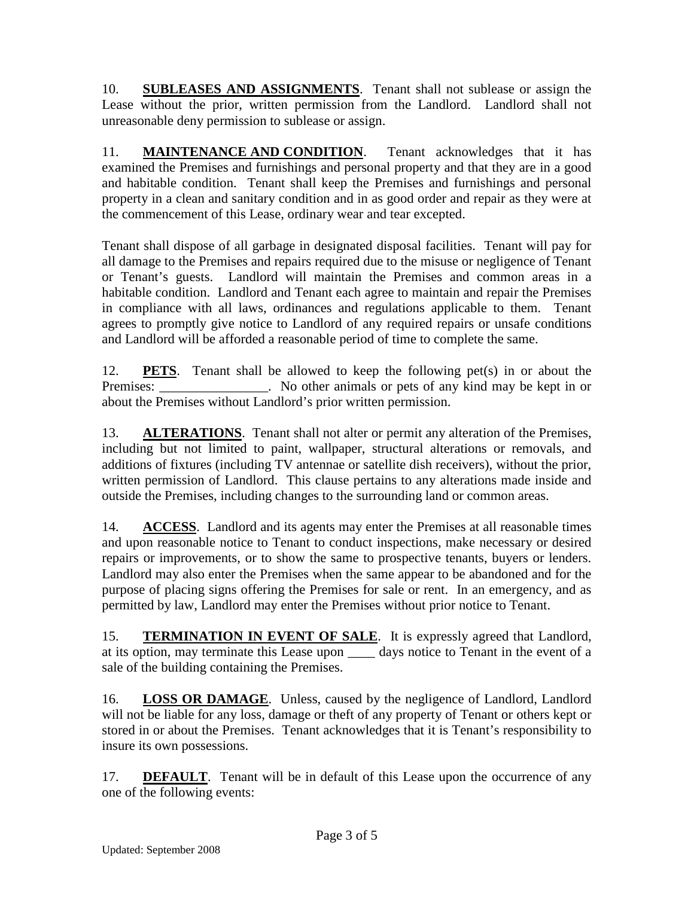10. **SUBLEASES AND ASSIGNMENTS**. Tenant shall not sublease or assign the Lease without the prior, written permission from the Landlord. Landlord shall not unreasonable deny permission to sublease or assign.

11. **MAINTENANCE AND CONDITION**. Tenant acknowledges that it has examined the Premises and furnishings and personal property and that they are in a good and habitable condition. Tenant shall keep the Premises and furnishings and personal property in a clean and sanitary condition and in as good order and repair as they were at the commencement of this Lease, ordinary wear and tear excepted.

Tenant shall dispose of all garbage in designated disposal facilities. Tenant will pay for all damage to the Premises and repairs required due to the misuse or negligence of Tenant or Tenant's guests. Landlord will maintain the Premises and common areas in a habitable condition. Landlord and Tenant each agree to maintain and repair the Premises in compliance with all laws, ordinances and regulations applicable to them. Tenant agrees to promptly give notice to Landlord of any required repairs or unsafe conditions and Landlord will be afforded a reasonable period of time to complete the same.

12. **PETS**. Tenant shall be allowed to keep the following pet(s) in or about the Premises: \_\_\_\_\_\_\_\_\_\_\_\_\_\_. No other animals or pets of any kind may be kept in or about the Premises without Landlord's prior written permission.

13. **ALTERATIONS**. Tenant shall not alter or permit any alteration of the Premises, including but not limited to paint, wallpaper, structural alterations or removals, and additions of fixtures (including TV antennae or satellite dish receivers), without the prior, written permission of Landlord. This clause pertains to any alterations made inside and outside the Premises, including changes to the surrounding land or common areas.

14. **ACCESS**. Landlord and its agents may enter the Premises at all reasonable times and upon reasonable notice to Tenant to conduct inspections, make necessary or desired repairs or improvements, or to show the same to prospective tenants, buyers or lenders. Landlord may also enter the Premises when the same appear to be abandoned and for the purpose of placing signs offering the Premises for sale or rent. In an emergency, and as permitted by law, Landlord may enter the Premises without prior notice to Tenant.

15. **TERMINATION IN EVENT OF SALE**. It is expressly agreed that Landlord, at its option, may terminate this Lease upon \_\_\_\_ days notice to Tenant in the event of a sale of the building containing the Premises.

16. **LOSS OR DAMAGE**. Unless, caused by the negligence of Landlord, Landlord will not be liable for any loss, damage or theft of any property of Tenant or others kept or stored in or about the Premises. Tenant acknowledges that it is Tenant's responsibility to insure its own possessions.

17. **DEFAULT**. Tenant will be in default of this Lease upon the occurrence of any one of the following events: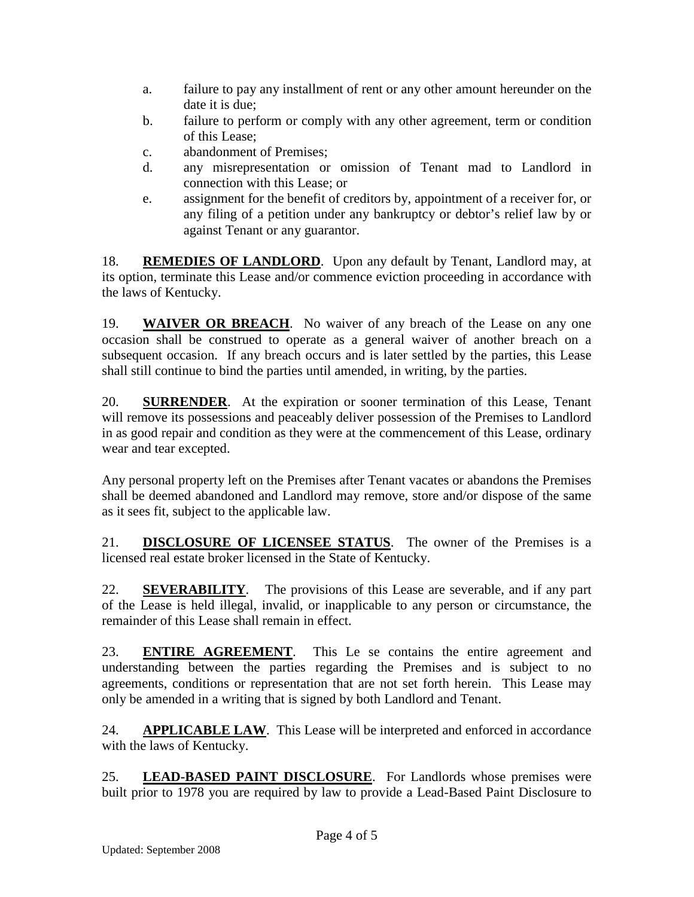- a. failure to pay any installment of rent or any other amount hereunder on the date it is due;
- b. failure to perform or comply with any other agreement, term or condition of this Lease;
- c. abandonment of Premises;
- d. any misrepresentation or omission of Tenant mad to Landlord in connection with this Lease; or
- e. assignment for the benefit of creditors by, appointment of a receiver for, or any filing of a petition under any bankruptcy or debtor's relief law by or against Tenant or any guarantor.

18. **REMEDIES OF LANDLORD**. Upon any default by Tenant, Landlord may, at its option, terminate this Lease and/or commence eviction proceeding in accordance with the laws of Kentucky.

19. **WAIVER OR BREACH**. No waiver of any breach of the Lease on any one occasion shall be construed to operate as a general waiver of another breach on a subsequent occasion. If any breach occurs and is later settled by the parties, this Lease shall still continue to bind the parties until amended, in writing, by the parties.

20. **SURRENDER**. At the expiration or sooner termination of this Lease, Tenant will remove its possessions and peaceably deliver possession of the Premises to Landlord in as good repair and condition as they were at the commencement of this Lease, ordinary wear and tear excepted.

Any personal property left on the Premises after Tenant vacates or abandons the Premises shall be deemed abandoned and Landlord may remove, store and/or dispose of the same as it sees fit, subject to the applicable law.

21. **DISCLOSURE OF LICENSEE STATUS**. The owner of the Premises is a licensed real estate broker licensed in the State of Kentucky.

22. **SEVERABILITY**. The provisions of this Lease are severable, and if any part of the Lease is held illegal, invalid, or inapplicable to any person or circumstance, the remainder of this Lease shall remain in effect.

23. **ENTIRE AGREEMENT**. This Le se contains the entire agreement and understanding between the parties regarding the Premises and is subject to no agreements, conditions or representation that are not set forth herein. This Lease may only be amended in a writing that is signed by both Landlord and Tenant.

24. **APPLICABLE LAW**. This Lease will be interpreted and enforced in accordance with the laws of Kentucky.

25. **LEAD-BASED PAINT DISCLOSURE**. For Landlords whose premises were built prior to 1978 you are required by law to provide a Lead-Based Paint Disclosure to